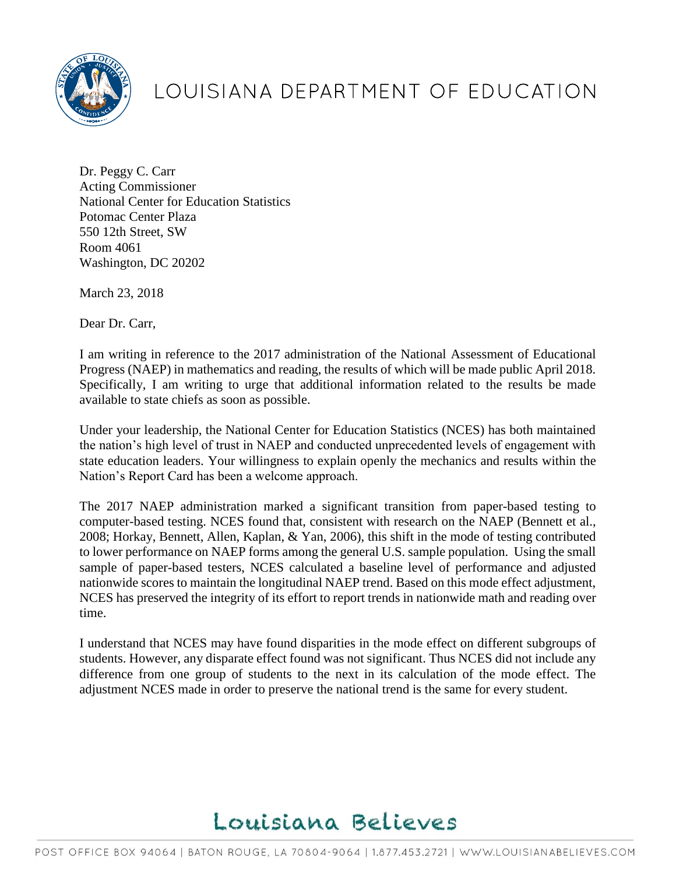

## LOUISIANA DEPARTMENT OF EDUCATION

Dr. Peggy C. Carr Acting Commissioner National Center for Education Statistics Potomac Center Plaza 550 12th Street, SW Room 4061 Washington, DC 20202

March 23, 2018

Dear Dr. Carr,

I am writing in reference to the 2017 administration of the National Assessment of Educational Progress (NAEP) in mathematics and reading, the results of which will be made public April 2018. Specifically, I am writing to urge that additional information related to the results be made available to state chiefs as soon as possible.

Under your leadership, the National Center for Education Statistics (NCES) has both maintained the nation's high level of trust in NAEP and conducted unprecedented levels of engagement with state education leaders. Your willingness to explain openly the mechanics and results within the Nation's Report Card has been a welcome approach.

The 2017 NAEP administration marked a significant transition from paper-based testing to computer-based testing. NCES found that, consistent with research on the NAEP (Bennett et al., 2008; Horkay, Bennett, Allen, Kaplan, & Yan, 2006), this shift in the mode of testing contributed to lower performance on NAEP forms among the general U.S. sample population. Using the small sample of paper-based testers, NCES calculated a baseline level of performance and adjusted nationwide scores to maintain the longitudinal NAEP trend. Based on this mode effect adjustment, NCES has preserved the integrity of its effort to report trends in nationwide math and reading over time.

I understand that NCES may have found disparities in the mode effect on different subgroups of students. However, any disparate effect found was not significant. Thus NCES did not include any difference from one group of students to the next in its calculation of the mode effect. The adjustment NCES made in order to preserve the national trend is the same for every student.

## Louisiana Believes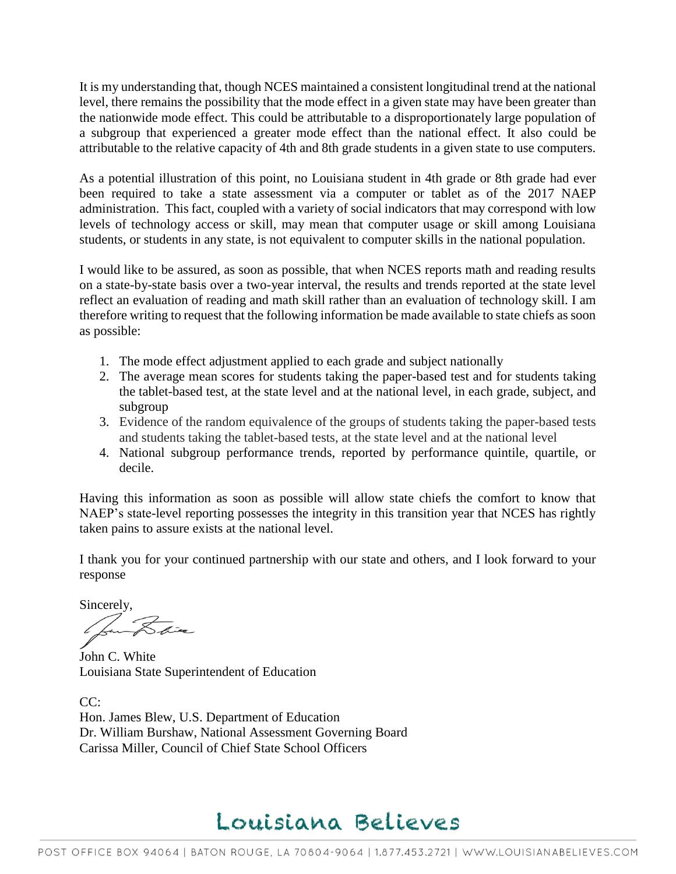It is my understanding that, though NCES maintained a consistent longitudinal trend at the national level, there remains the possibility that the mode effect in a given state may have been greater than the nationwide mode effect. This could be attributable to a disproportionately large population of a subgroup that experienced a greater mode effect than the national effect. It also could be attributable to the relative capacity of 4th and 8th grade students in a given state to use computers.

As a potential illustration of this point, no Louisiana student in 4th grade or 8th grade had ever been required to take a state assessment via a computer or tablet as of the 2017 NAEP administration. This fact, coupled with a variety of social indicators that may correspond with low levels of technology access or skill, may mean that computer usage or skill among Louisiana students, or students in any state, is not equivalent to computer skills in the national population.

I would like to be assured, as soon as possible, that when NCES reports math and reading results on a state-by-state basis over a two-year interval, the results and trends reported at the state level reflect an evaluation of reading and math skill rather than an evaluation of technology skill. I am therefore writing to request that the following information be made available to state chiefs as soon as possible:

- 1. The mode effect adjustment applied to each grade and subject nationally
- 2. The average mean scores for students taking the paper-based test and for students taking the tablet-based test, at the state level and at the national level, in each grade, subject, and subgroup
- 3. Evidence of the random equivalence of the groups of students taking the paper-based tests and students taking the tablet-based tests, at the state level and at the national level
- 4. National subgroup performance trends, reported by performance quintile, quartile, or decile.

Having this information as soon as possible will allow state chiefs the comfort to know that NAEP's state-level reporting possesses the integrity in this transition year that NCES has rightly taken pains to assure exists at the national level.

I thank you for your continued partnership with our state and others, and I look forward to your response

Sincerely,

 $\overrightarrow{K}$ 

John C. White Louisiana State Superintendent of Education

CC: Hon. James Blew, U.S. Department of Education Dr. William Burshaw, National Assessment Governing Board Carissa Miller, Council of Chief State School Officers

## Louisiana Believes